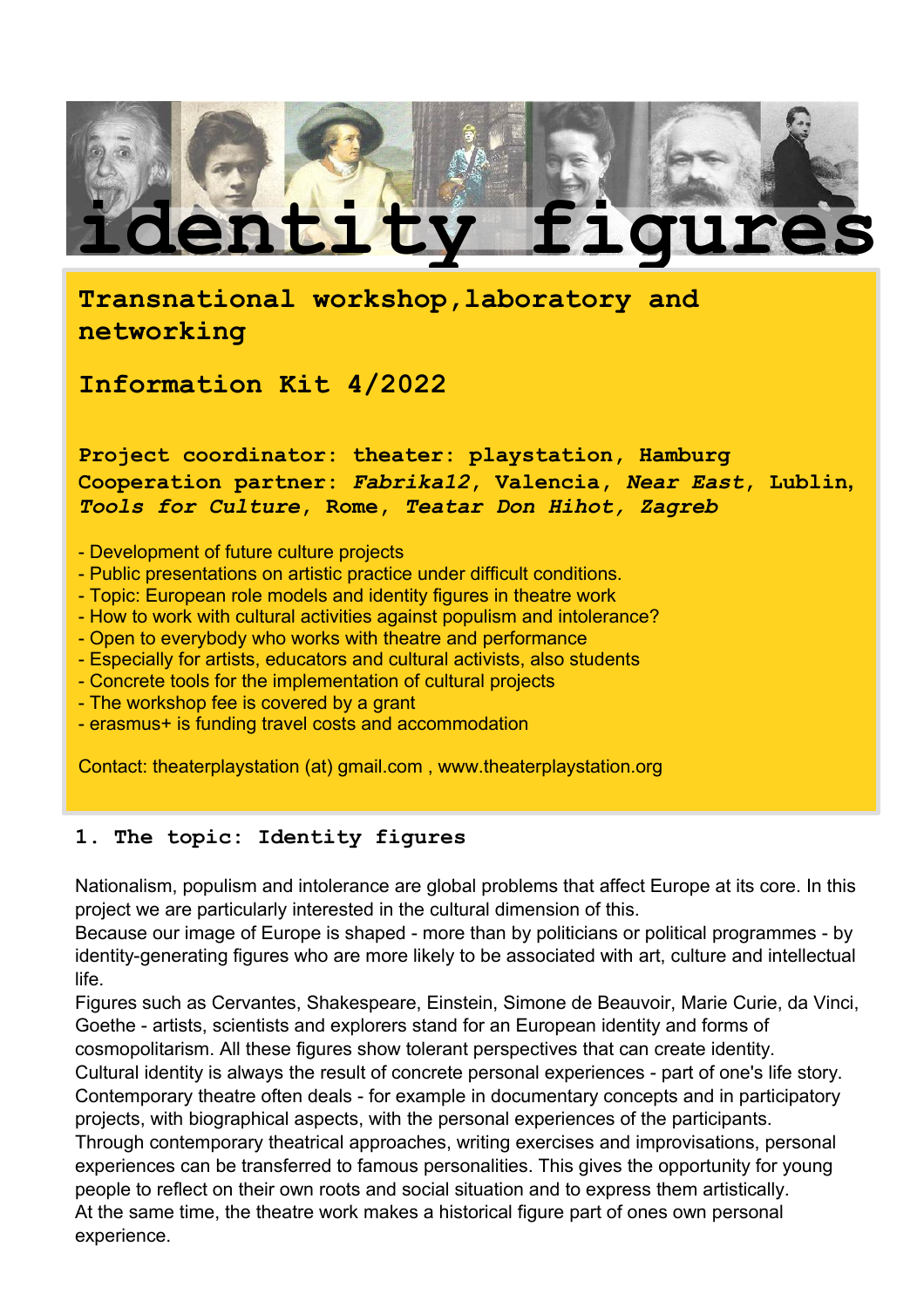

**Transnational workshop,laboratory and networking** 

**Information Kit 4/2022**

**Project coordinator: theater: playstation, Hamburg Cooperation partner:** *Fabrika12***, Valencia,** *Near East***, Lublin,**  *Tools for Culture***, Rome,** *Teatar Don Hihot, Zagreb*

- Development of future culture projects
- Public presentations on artistic practice under difficult conditions.
- Topic: European role models and identity figures in theatre work
- How to work with cultural activities against populism and intolerance?
- Open to everybody who works with theatre and performance
- Especially for artists, educators and cultural activists, also students
- Concrete tools for the implementation of cultural projects
- The workshop fee is covered by a grant
- erasmus+ is funding travel costs and accommodation

Contact: theaterplaystation (at) gmail.com , www.theaterplaystation.org

# **1. The topic: Identity figures**

Nationalism, populism and intolerance are global problems that affect Europe at its core. In this project we are particularly interested in the cultural dimension of this.

Because our image of Europe is shaped - more than by politicians or political programmes - by identity-generating figures who are more likely to be associated with art, culture and intellectual life.

Figures such as Cervantes, Shakespeare, Einstein, Simone de Beauvoir, Marie Curie, da Vinci, Goethe - artists, scientists and explorers stand for an European identity and forms of cosmopolitarism. All these figures show tolerant perspectives that can create identity.

Cultural identity is always the result of concrete personal experiences - part of one's life story. Contemporary theatre often deals - for example in documentary concepts and in participatory projects, with biographical aspects, with the personal experiences of the participants.

Through contemporary theatrical approaches, writing exercises and improvisations, personal experiences can be transferred to famous personalities. This gives the opportunity for young people to reflect on their own roots and social situation and to express them artistically. At the same time, the theatre work makes a historical figure part of ones own personal experience.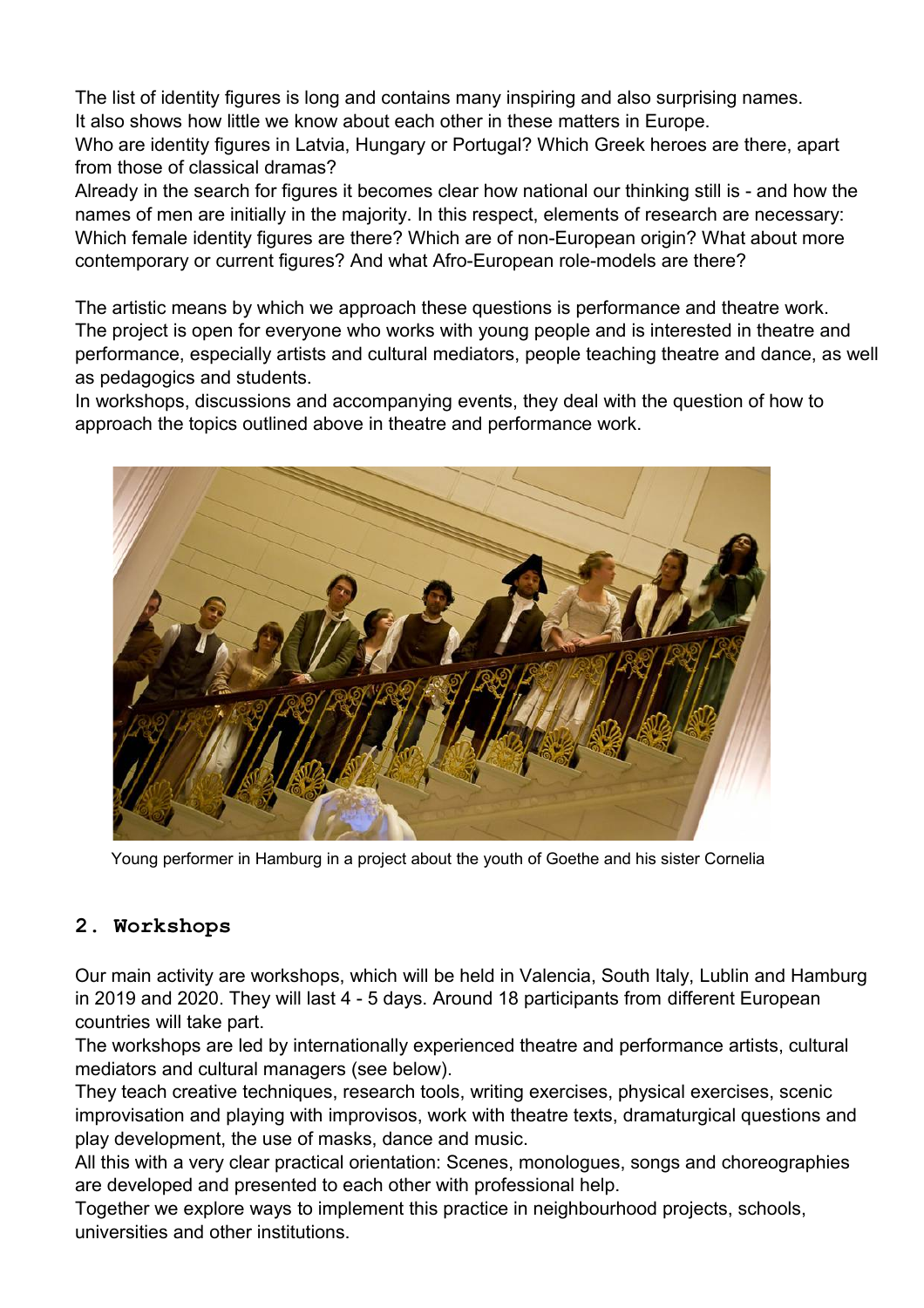The list of identity figures is long and contains many inspiring and also surprising names. It also shows how little we know about each other in these matters in Europe.

Who are identity figures in Latvia, Hungary or Portugal? Which Greek heroes are there, apart from those of classical dramas?

Already in the search for figures it becomes clear how national our thinking still is - and how the names of men are initially in the majority. In this respect, elements of research are necessary: Which female identity figures are there? Which are of non-European origin? What about more contemporary or current figures? And what Afro-European role-models are there?

The artistic means by which we approach these questions is performance and theatre work. The project is open for everyone who works with young people and is interested in theatre and performance, especially artists and cultural mediators, people teaching theatre and dance, as well as pedagogics and students.

In workshops, discussions and accompanying events, they deal with the question of how to approach the topics outlined above in theatre and performance work.



Young performer in Hamburg in a project about the youth of Goethe and his sister Cornelia

# **2. Workshops**

Our main activity are workshops, which will be held in Valencia, South Italy, Lublin and Hamburg in 2019 and 2020. They will last 4 - 5 days. Around 18 participants from different European countries will take part.

The workshops are led by internationally experienced theatre and performance artists, cultural mediators and cultural managers (see below).

They teach creative techniques, research tools, writing exercises, physical exercises, scenic improvisation and playing with improvisos, work with theatre texts, dramaturgical questions and play development, the use of masks, dance and music.

All this with a very clear practical orientation: Scenes, monologues, songs and choreographies are developed and presented to each other with professional help.

Together we explore ways to implement this practice in neighbourhood projects, schools, universities and other institutions.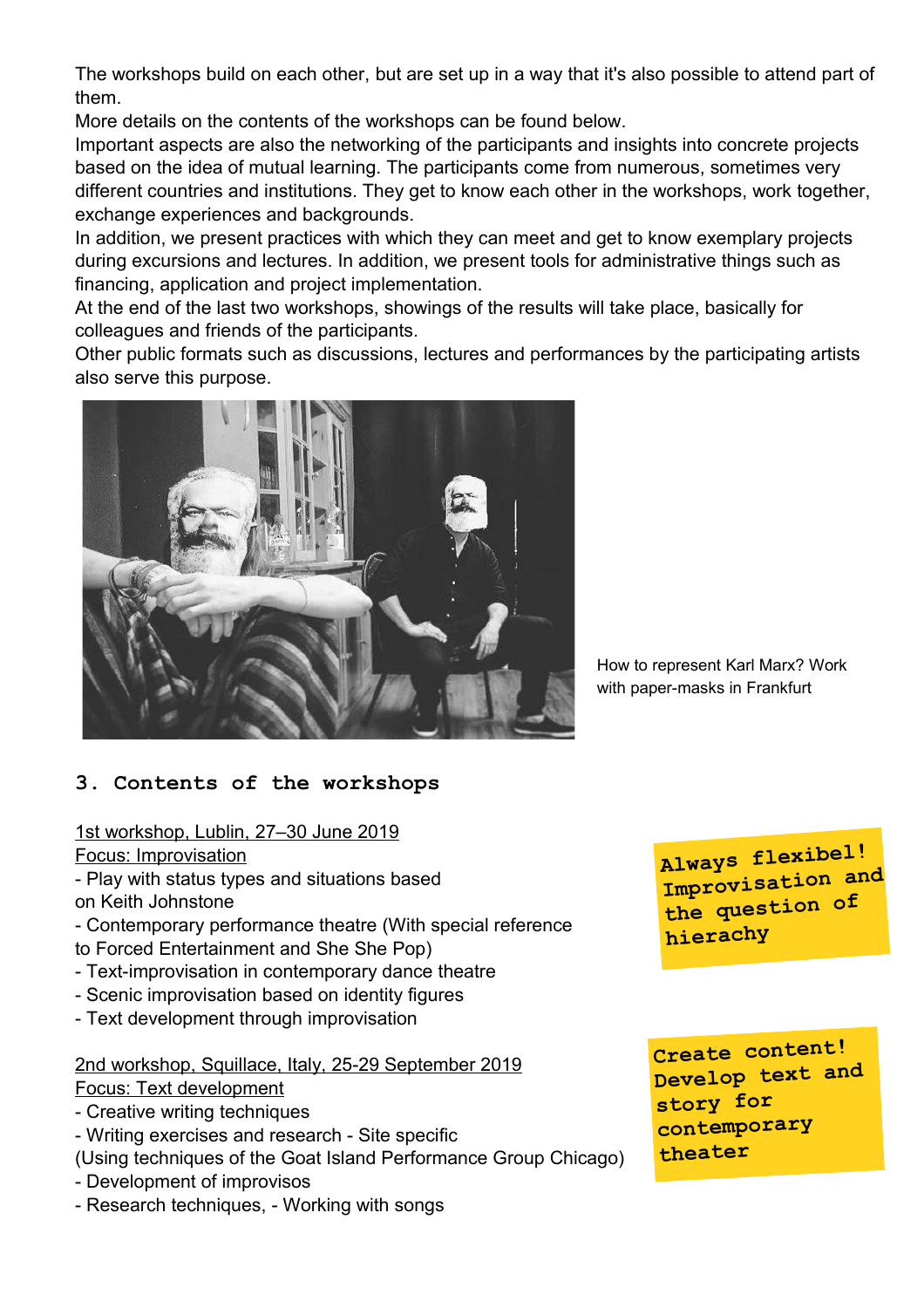The workshops build on each other, but are set up in a way that it's also possible to attend part of them.

More details on the contents of the workshops can be found below.

Important aspects are also the networking of the participants and insights into concrete projects based on the idea of mutual learning. The participants come from numerous, sometimes very different countries and institutions. They get to know each other in the workshops, work together, exchange experiences and backgrounds.

In addition, we present practices with which they can meet and get to know exemplary projects during excursions and lectures. In addition, we present tools for administrative things such as financing, application and project implementation.

At the end of the last two workshops, showings of the results will take place, basically for colleagues and friends of the participants.

Other public formats such as discussions, lectures and performances by the participating artists also serve this purpose.



How to represent Karl Marx? Work with paper-masks in Frankfurt

# **3. Contents of the workshops**

1st workshop, Lublin, 27–30 June 2019

Focus: Improvisation

- Play with status types and situations based on Keith Johnstone

- Contemporary performance theatre (With special reference to Forced Entertainment and She She Pop)

- Text-improvisation in contemporary dance theatre
- Scenic improvisation based on identity figures
- Text development through improvisation

 2nd workshop, Squillace, Italy, 25-29 September 2019 Focus: Text development

- Creative writing techniques
- Writing exercises and research Site specific
- (Using techniques of the Goat Island Performance Group Chicago)
- Development of improvisos
- Research techniques, Working with songs

**Always flexibel! Improvisation and the question of hierachy**

**Create content! Develop text and story for contemporary theater**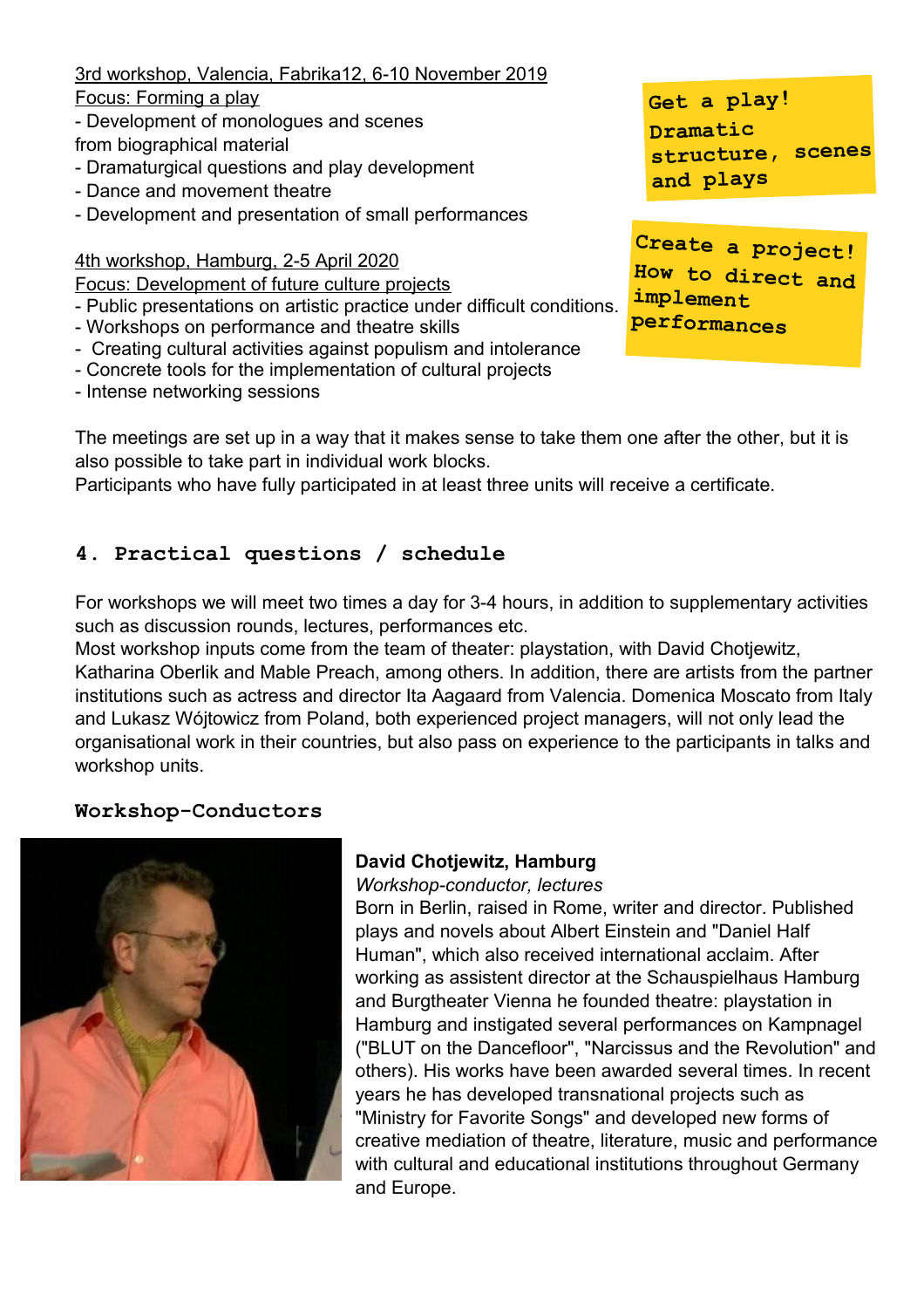3rd workshop, Valencia, Fabrika12, 6-10 November 2019

Focus: Forming a play

- Development of monologues and scenes from biographical material
- Dramaturgical questions and play development
- Dance and movement theatre
- Development and presentation of small performances
- 4th workshop, Hamburg, 2-5 April 2020

Focus: Development of future culture projects

- Public presentations on artistic practice under difficult conditions.
- Workshops on performance and theatre skills
- Creating cultural activities against populism and intolerance
- Concrete tools for the implementation of cultural projects
- Intense networking sessions

The meetings are set up in a way that it makes sense to take them one after the other, but it is also possible to take part in individual work blocks.

Participants who have fully participated in at least three units will receive a certificate.

# **4. Practical questions / schedule**

For workshops we will meet two times a day for 3-4 hours, in addition to supplementary activities such as discussion rounds, lectures, performances etc.

Most workshop inputs come from the team of theater: playstation, with David Chotjewitz, Katharina Oberlik and Mable Preach, among others. In addition, there are artists from the partner institutions such as actress and director Ita Aagaard from Valencia. Domenica Moscato from Italy and Lukasz Wójtowicz from Poland, both experienced project managers, will not only lead the organisational work in their countries, but also pass on experience to the participants in talks and workshop units.

# **Workshop-Conductors**



# **David Chotjewitz, Hamburg**

*Workshop-conductor, lectures*

Born in Berlin, raised in Rome, writer and director. Published plays and novels about Albert Einstein and "Daniel Half Human", which also received international acclaim. After working as assistent director at the Schauspielhaus Hamburg and Burgtheater Vienna he founded theatre: playstation in Hamburg and instigated several performances on Kampnagel ("BLUT on the Dancefloor", "Narcissus and the Revolution" and others). His works have been awarded several times. In recent years he has developed transnational projects such as "Ministry for Favorite Songs" and developed new forms of creative mediation of theatre, literature, music and performance with cultural and educational institutions throughout Germany and Europe.

**Get <sup>a</sup> play! Dramatic structure, scenes and plays**

**Create <sup>a</sup> project! How to direct and implement performances**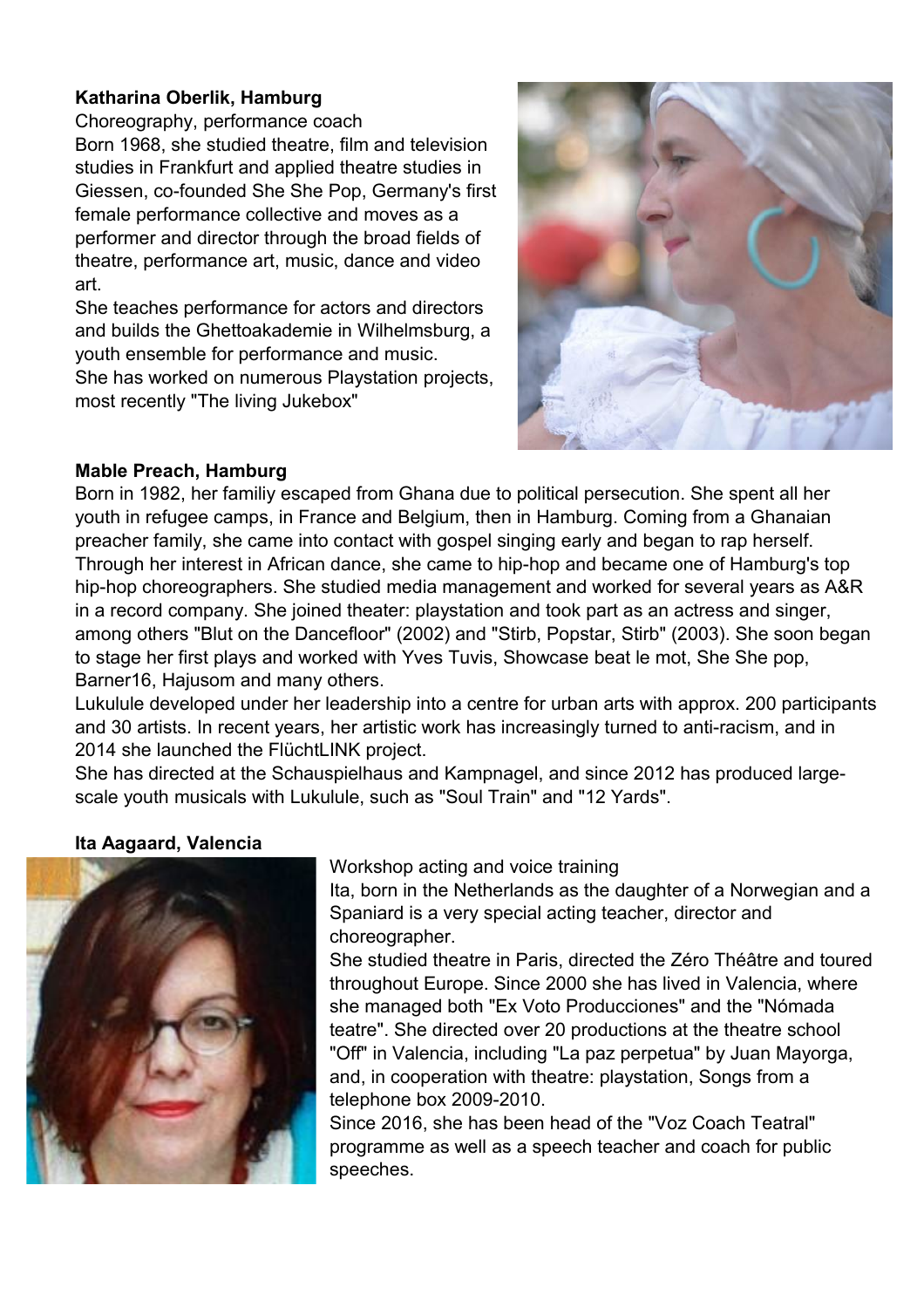# **Katharina Oberlik, Hamburg**

Choreography, performance coach

Born 1968, she studied theatre, film and television studies in Frankfurt and applied theatre studies in Giessen, co-founded She She Pop, Germany's first female performance collective and moves as a performer and director through the broad fields of theatre, performance art, music, dance and video art.

She teaches performance for actors and directors and builds the Ghettoakademie in Wilhelmsburg, a youth ensemble for performance and music. She has worked on numerous Playstation projects, most recently "The living Jukebox"



#### **Mable Preach, Hamburg**

Born in 1982, her familiy escaped from Ghana due to political persecution. She spent all her youth in refugee camps, in France and Belgium, then in Hamburg. Coming from a Ghanaian preacher family, she came into contact with gospel singing early and began to rap herself. Through her interest in African dance, she came to hip-hop and became one of Hamburg's top hip-hop choreographers. She studied media management and worked for several years as A&R in a record company. She joined theater: playstation and took part as an actress and singer, among others "Blut on the Dancefloor" (2002) and "Stirb, Popstar, Stirb" (2003). She soon began to stage her first plays and worked with Yves Tuvis, Showcase beat le mot, She She pop, Barner16, Hajusom and many others.

Lukulule developed under her leadership into a centre for urban arts with approx. 200 participants and 30 artists. In recent years, her artistic work has increasingly turned to anti-racism, and in 2014 she launched the FlüchtLINK project.

She has directed at the Schauspielhaus and Kampnagel, and since 2012 has produced largescale youth musicals with Lukulule, such as "Soul Train" and "12 Yards".

# **Ita Aagaard, Valencia**



Workshop acting and voice training

Ita, born in the Netherlands as the daughter of a Norwegian and a Spaniard is a very special acting teacher, director and choreographer.

She studied theatre in Paris, directed the Zéro Théâtre and toured throughout Europe. Since 2000 she has lived in Valencia, where she managed both "Ex Voto Producciones" and the "Nómada teatre". She directed over 20 productions at the theatre school "Off" in Valencia, including "La paz perpetua" by Juan Mayorga, and, in cooperation with theatre: playstation, Songs from a telephone box 2009-2010.

Since 2016, she has been head of the "Voz Coach Teatral" programme as well as a speech teacher and coach for public speeches.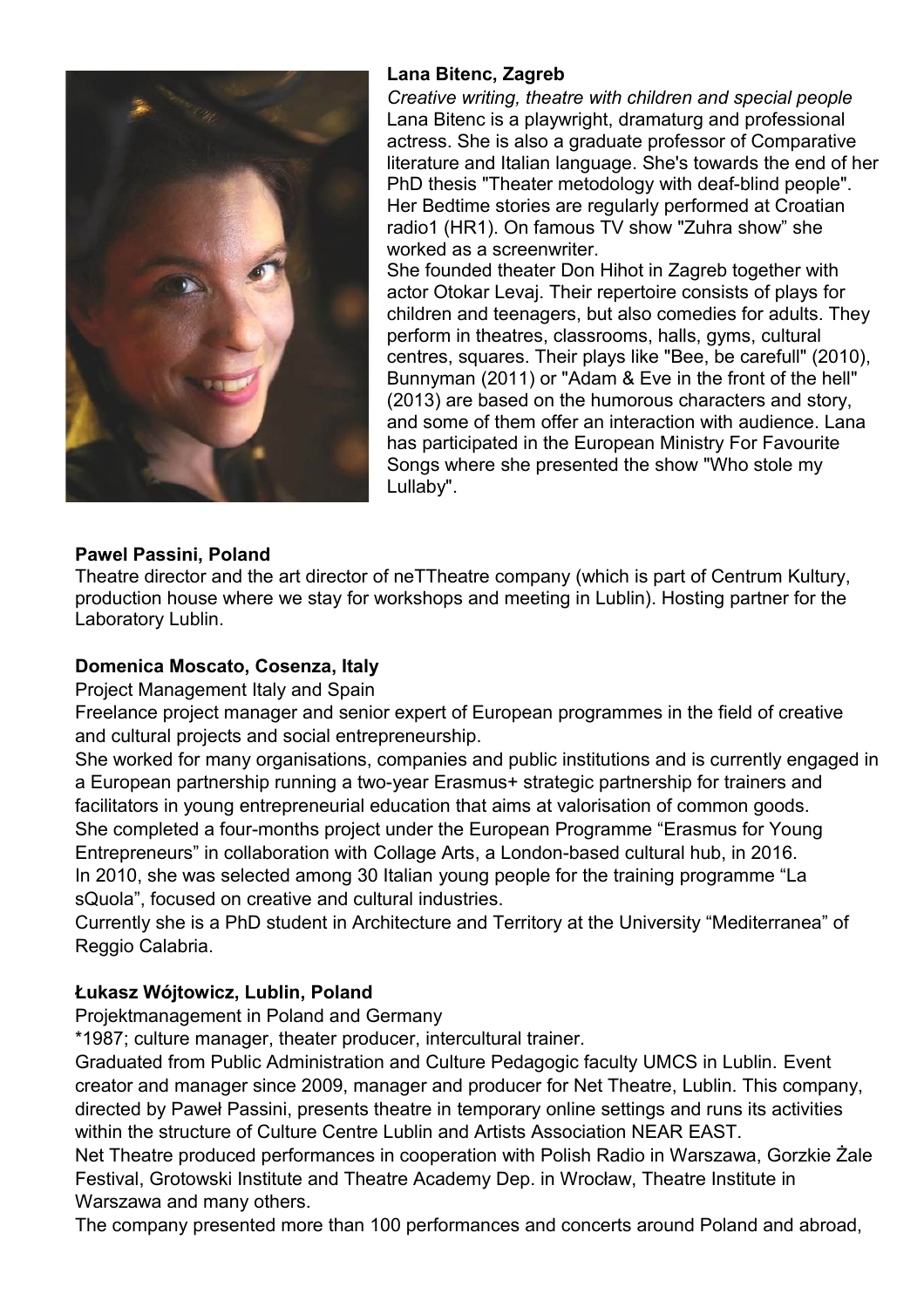

# **Lana Bitenc, Zagreb**

*Creative writing, theatre with children and special people* Lana Bitenc is a playwright, dramaturg and professional actress. She is also a graduate professor of Comparative literature and Italian language. She's towards the end of her PhD thesis "Theater metodology with deaf-blind people". Her Bedtime stories are regularly performed at Croatian radio1 (HR1). On famous TV show "Zuhra show" she worked as a screenwriter.

She founded theater Don Hihot in Zagreb together with actor Otokar Levaj. Their repertoire consists of plays for children and teenagers, but also comedies for adults. They perform in theatres, classrooms, halls, gyms, cultural centres, squares. Their plays like "Bee, be carefull" (2010), Bunnyman (2011) or "Adam & Eve in the front of the hell" (2013) are based on the humorous characters and story, and some of them offer an interaction with audience. Lana has participated in the European Ministry For Favourite Songs where she presented the show "Who stole my Lullaby".

# **Pawel Passini, Poland**

Theatre director and the art director of neTTheatre company (which is part of Centrum Kultury, production house where we stay for workshops and meeting in Lublin). Hosting partner for the Laboratory Lublin.

# **Domenica Moscato, Cosenza, Italy**

Project Management Italy and Spain

Freelance project manager and senior expert of European programmes in the field of creative and cultural projects and social entrepreneurship.

She worked for many organisations, companies and public institutions and is currently engaged in a European partnership running a two-year Erasmus+ strategic partnership for trainers and facilitators in young entrepreneurial education that aims at valorisation of common goods. She completed a four-months project under the European Programme "Erasmus for Young Entrepreneurs" in collaboration with [Collage Arts,](http://www.collage-arts.org/) a London-based cultural hub, in 2016. In 2010, she was selected among 30 Italian young people for the training programme "La sQuola", focused on creative and cultural industries.

Currently she is a PhD student in Architecture and Territory at the University "Mediterranea" of Reggio Calabria.

# **Łukasz Wójtowicz, Lublin, Poland**

Projektmanagement in Poland and Germany

\*1987; culture manager, theater producer, intercultural trainer.

Graduated from Public Administration and Culture Pedagogic faculty UMCS in Lublin. Event creator and manager since 2009, manager and producer for Net Theatre, Lublin. This company, directed by Paweł Passini, presents theatre in temporary online settings and runs its activities within the structure of Culture Centre Lublin and Artists Association NEAR EAST.

Net Theatre produced performances in cooperation with Polish Radio in Warszawa, Gorzkie Żale Festival, Grotowski Institute and Theatre Academy Dep. in Wrocław, Theatre Institute in Warszawa and many others.

The company presented more than 100 performances and concerts around Poland and abroad,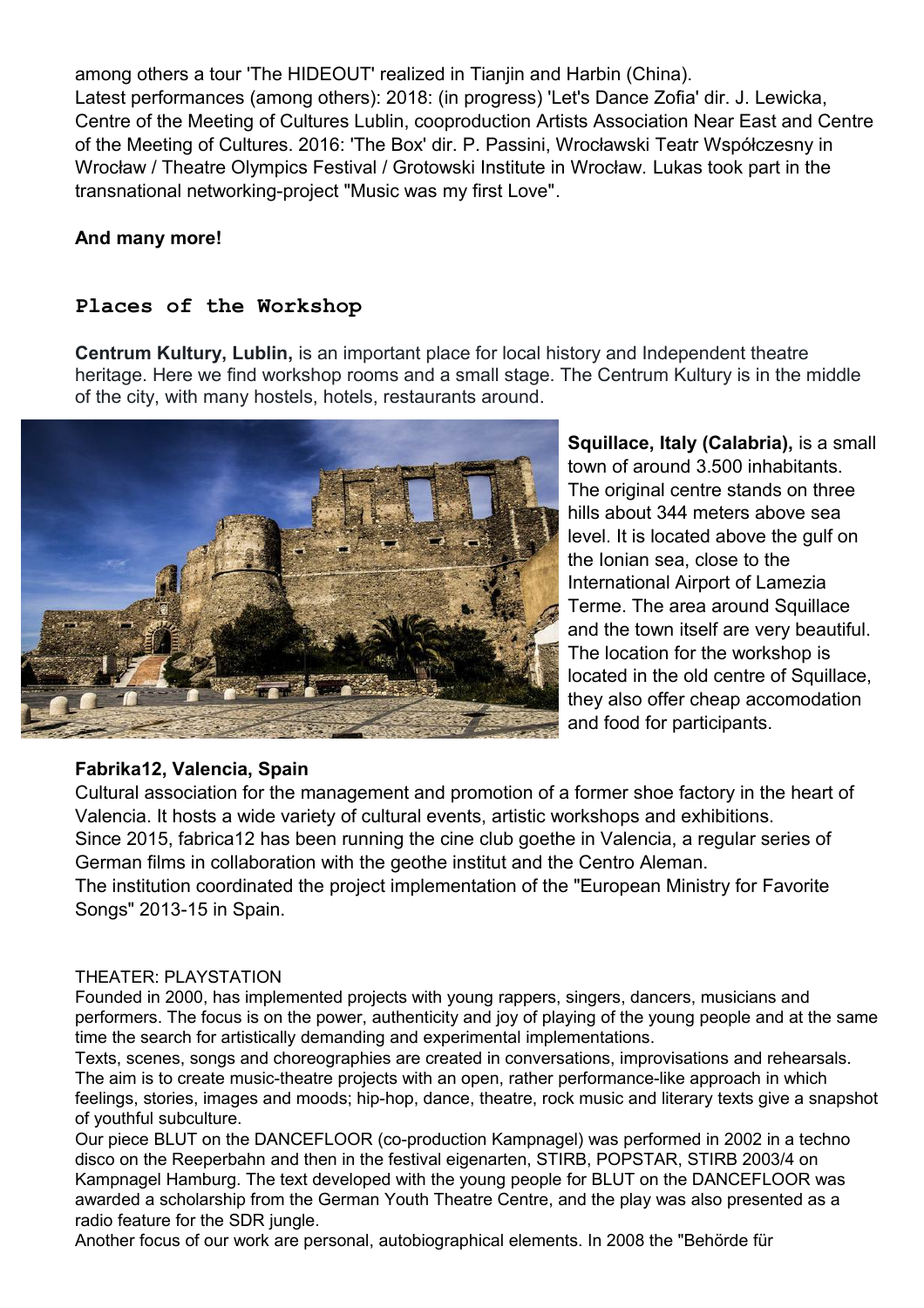among others a tour 'The HIDEOUT' realized in Tianjin and Harbin (China). Latest performances (among others): 2018: (in progress) 'Let's Dance Zofia' dir. J. Lewicka, Centre of the Meeting of Cultures Lublin, cooproduction Artists Association Near East and Centre of the Meeting of Cultures. 2016: 'The Box' dir. P. Passini, Wrocławski Teatr Współczesny in Wrocław / Theatre Olympics Festival / Grotowski Institute in Wrocław. Lukas took part in the transnational networking-project "Music was my first Love".

# **And many more!**

# **Places of the Workshop**

**Centrum Kultury, Lublin,** is an important place for local history and Independent theatre heritage. Here we find workshop rooms and a small stage. The Centrum Kultury is in the middle of the city, with many hostels, hotels, restaurants around.



**Squillace, Italy (Calabria),** is a small town of around 3.500 inhabitants. The original centre stands on three hills about 344 meters above sea level. It is located above the gulf on the Ionian sea, close to the International Airport of Lamezia Terme. The area around Squillace and the town itself are very beautiful. The location for the workshop is located in the old centre of Squillace, they also offer cheap accomodation and food for participants.

# **Fabrika12, Valencia, Spain**

Cultural association for the management and promotion of a former shoe factory in the heart of Valencia. It hosts a wide variety of cultural events, artistic workshops and exhibitions. Since 2015, fabrica12 has been running the cine club goethe in Valencia, a regular series of German films in collaboration with the geothe institut and the Centro Aleman. The institution coordinated the project implementation of the "European Ministry for Favorite Songs" 2013-15 in Spain.

#### THEATER: PLAYSTATION

Founded in 2000, has implemented projects with young rappers, singers, dancers, musicians and performers. The focus is on the power, authenticity and joy of playing of the young people and at the same time the search for artistically demanding and experimental implementations.

Texts, scenes, songs and choreographies are created in conversations, improvisations and rehearsals. The aim is to create music-theatre projects with an open, rather performance-like approach in which feelings, stories, images and moods; hip-hop, dance, theatre, rock music and literary texts give a snapshot of youthful subculture.

Our piece BLUT on the DANCEFLOOR (co-production Kampnagel) was performed in 2002 in a techno disco on the Reeperbahn and then in the festival eigenarten, STIRB, POPSTAR, STIRB 2003/4 on Kampnagel Hamburg. The text developed with the young people for BLUT on the DANCEFLOOR was awarded a scholarship from the German Youth Theatre Centre, and the play was also presented as a radio feature for the SDR jungle.

Another focus of our work are personal, autobiographical elements. In 2008 the "Behörde für